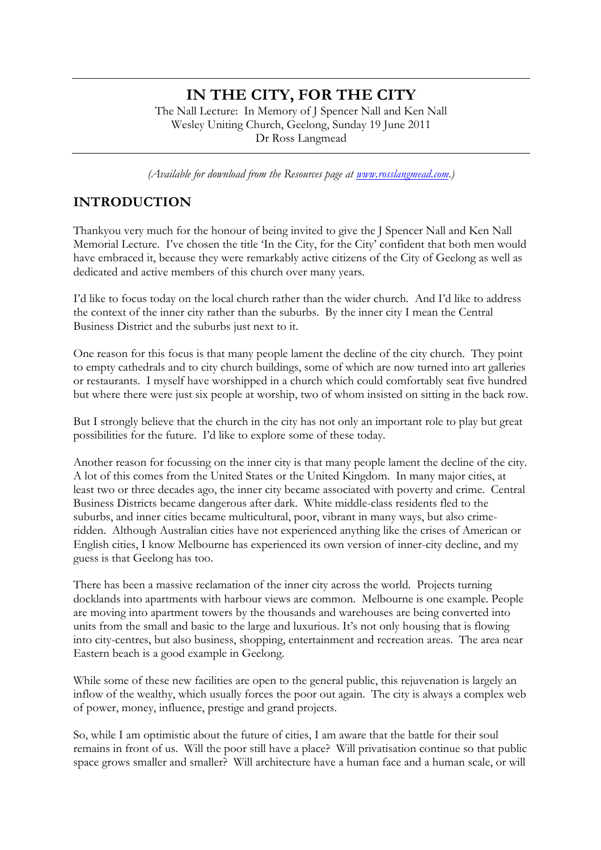# **IN THE CITY, FOR THE CITY**

The Nall Lecture: In Memory of J Spencer Nall and Ken Nall Wesley Uniting Church, Geelong, Sunday 19 June 2011 Dr Ross Langmead

*(Available for download from the Resources page at www.rosslangmead.com.)*

### **INTRODUCTION**

Thankyou very much for the honour of being invited to give the J Spencer Nall and Ken Nall Memorial Lecture. I've chosen the title 'In the City, for the City' confident that both men would have embraced it, because they were remarkably active citizens of the City of Geelong as well as dedicated and active members of this church over many years.

I'd like to focus today on the local church rather than the wider church. And I'd like to address the context of the inner city rather than the suburbs. By the inner city I mean the Central Business District and the suburbs just next to it.

One reason for this focus is that many people lament the decline of the city church. They point to empty cathedrals and to city church buildings, some of which are now turned into art galleries or restaurants. I myself have worshipped in a church which could comfortably seat five hundred but where there were just six people at worship, two of whom insisted on sitting in the back row.

But I strongly believe that the church in the city has not only an important role to play but great possibilities for the future. I'd like to explore some of these today.

Another reason for focussing on the inner city is that many people lament the decline of the city. A lot of this comes from the United States or the United Kingdom. In many major cities, at least two or three decades ago, the inner city became associated with poverty and crime. Central Business Districts became dangerous after dark. White middle-class residents fled to the suburbs, and inner cities became multicultural, poor, vibrant in many ways, but also crimeridden. Although Australian cities have not experienced anything like the crises of American or English cities, I know Melbourne has experienced its own version of inner-city decline, and my guess is that Geelong has too.

There has been a massive reclamation of the inner city across the world. Projects turning docklands into apartments with harbour views are common. Melbourne is one example. People are moving into apartment towers by the thousands and warehouses are being converted into units from the small and basic to the large and luxurious. It's not only housing that is flowing into city-centres, but also business, shopping, entertainment and recreation areas. The area near Eastern beach is a good example in Geelong.

While some of these new facilities are open to the general public, this rejuvenation is largely an inflow of the wealthy, which usually forces the poor out again. The city is always a complex web of power, money, influence, prestige and grand projects.

So, while I am optimistic about the future of cities, I am aware that the battle for their soul remains in front of us. Will the poor still have a place? Will privatisation continue so that public space grows smaller and smaller? Will architecture have a human face and a human scale, or will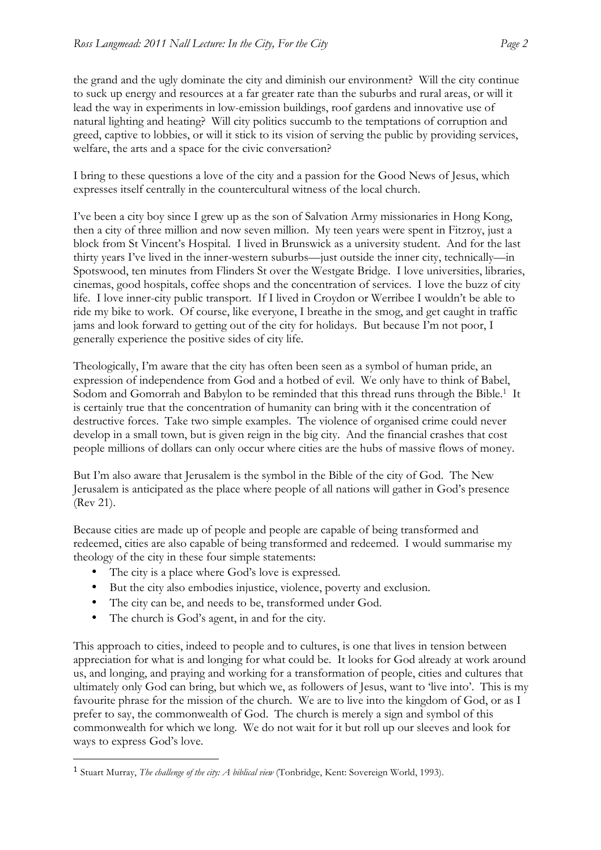the grand and the ugly dominate the city and diminish our environment? Will the city continue to suck up energy and resources at a far greater rate than the suburbs and rural areas, or will it lead the way in experiments in low-emission buildings, roof gardens and innovative use of natural lighting and heating? Will city politics succumb to the temptations of corruption and greed, captive to lobbies, or will it stick to its vision of serving the public by providing services, welfare, the arts and a space for the civic conversation?

I bring to these questions a love of the city and a passion for the Good News of Jesus, which expresses itself centrally in the countercultural witness of the local church.

I've been a city boy since I grew up as the son of Salvation Army missionaries in Hong Kong, then a city of three million and now seven million. My teen years were spent in Fitzroy, just a block from St Vincent's Hospital. I lived in Brunswick as a university student. And for the last thirty years I've lived in the inner-western suburbs—just outside the inner city, technically—in Spotswood, ten minutes from Flinders St over the Westgate Bridge. I love universities, libraries, cinemas, good hospitals, coffee shops and the concentration of services. I love the buzz of city life. I love inner-city public transport. If I lived in Croydon or Werribee I wouldn't be able to ride my bike to work. Of course, like everyone, I breathe in the smog, and get caught in traffic jams and look forward to getting out of the city for holidays. But because I'm not poor, I generally experience the positive sides of city life.

Theologically, I'm aware that the city has often been seen as a symbol of human pride, an expression of independence from God and a hotbed of evil. We only have to think of Babel, Sodom and Gomorrah and Babylon to be reminded that this thread runs through the Bible.<sup>1</sup> It is certainly true that the concentration of humanity can bring with it the concentration of destructive forces. Take two simple examples. The violence of organised crime could never develop in a small town, but is given reign in the big city. And the financial crashes that cost people millions of dollars can only occur where cities are the hubs of massive flows of money.

But I'm also aware that Jerusalem is the symbol in the Bible of the city of God. The New Jerusalem is anticipated as the place where people of all nations will gather in God's presence (Rev 21).

Because cities are made up of people and people are capable of being transformed and redeemed, cities are also capable of being transformed and redeemed. I would summarise my theology of the city in these four simple statements:

- The city is a place where God's love is expressed.
- But the city also embodies injustice, violence, poverty and exclusion.
- The city can be, and needs to be, transformed under God.
- The church is God's agent, in and for the city.

!!!!!!!!!!!!!!!!!!!!!!!!!!!!!!!!!!!!!!!!!!!!!!!!!!!!!!!

This approach to cities, indeed to people and to cultures, is one that lives in tension between appreciation for what is and longing for what could be. It looks for God already at work around us, and longing, and praying and working for a transformation of people, cities and cultures that ultimately only God can bring, but which we, as followers of Jesus, want to 'live into'. This is my favourite phrase for the mission of the church. We are to live into the kingdom of God, or as I prefer to say, the commonwealth of God. The church is merely a sign and symbol of this commonwealth for which we long. We do not wait for it but roll up our sleeves and look for ways to express God's love.

<sup>1</sup> Stuart Murray, *The challenge of the city: A biblical view* (Tonbridge, Kent: Sovereign World, 1993).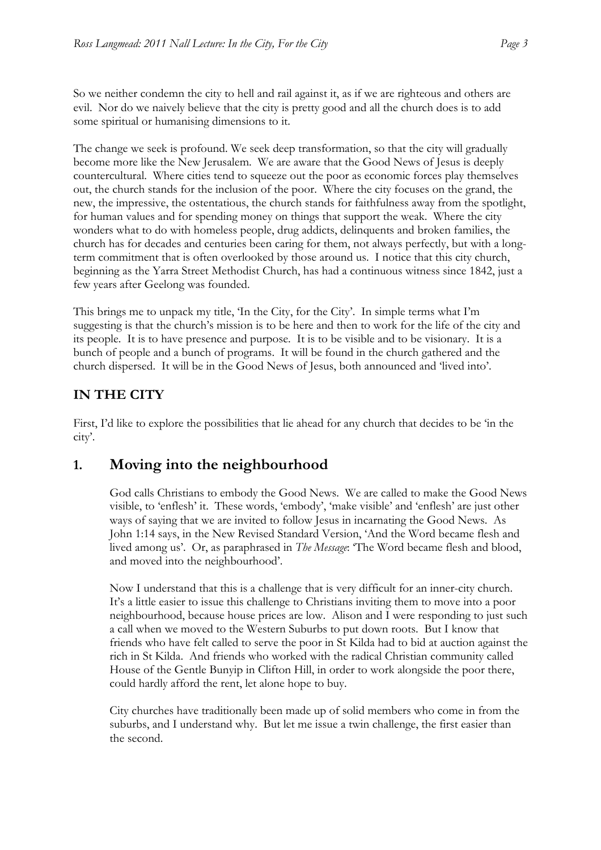So we neither condemn the city to hell and rail against it, as if we are righteous and others are evil. Nor do we naively believe that the city is pretty good and all the church does is to add some spiritual or humanising dimensions to it.

The change we seek is profound. We seek deep transformation, so that the city will gradually become more like the New Jerusalem. We are aware that the Good News of Jesus is deeply countercultural. Where cities tend to squeeze out the poor as economic forces play themselves out, the church stands for the inclusion of the poor. Where the city focuses on the grand, the new, the impressive, the ostentatious, the church stands for faithfulness away from the spotlight, for human values and for spending money on things that support the weak. Where the city wonders what to do with homeless people, drug addicts, delinquents and broken families, the church has for decades and centuries been caring for them, not always perfectly, but with a longterm commitment that is often overlooked by those around us. I notice that this city church, beginning as the Yarra Street Methodist Church, has had a continuous witness since 1842, just a few years after Geelong was founded.

This brings me to unpack my title, 'In the City, for the City'. In simple terms what I'm suggesting is that the church's mission is to be here and then to work for the life of the city and its people. It is to have presence and purpose. It is to be visible and to be visionary. It is a bunch of people and a bunch of programs. It will be found in the church gathered and the church dispersed. It will be in the Good News of Jesus, both announced and 'lived into'.

## **IN THE CITY**

First, I'd like to explore the possibilities that lie ahead for any church that decides to be 'in the city'.

## **1. Moving into the neighbourhood**

God calls Christians to embody the Good News. We are called to make the Good News visible, to 'enflesh' it. These words, 'embody', 'make visible' and 'enflesh' are just other ways of saying that we are invited to follow Jesus in incarnating the Good News. As John 1:14 says, in the New Revised Standard Version, 'And the Word became flesh and lived among us'. Or, as paraphrased in *The Message*: 'The Word became flesh and blood, and moved into the neighbourhood'.

Now I understand that this is a challenge that is very difficult for an inner-city church. It's a little easier to issue this challenge to Christians inviting them to move into a poor neighbourhood, because house prices are low. Alison and I were responding to just such a call when we moved to the Western Suburbs to put down roots. But I know that friends who have felt called to serve the poor in St Kilda had to bid at auction against the rich in St Kilda. And friends who worked with the radical Christian community called House of the Gentle Bunyip in Clifton Hill, in order to work alongside the poor there, could hardly afford the rent, let alone hope to buy.

City churches have traditionally been made up of solid members who come in from the suburbs, and I understand why. But let me issue a twin challenge, the first easier than the second.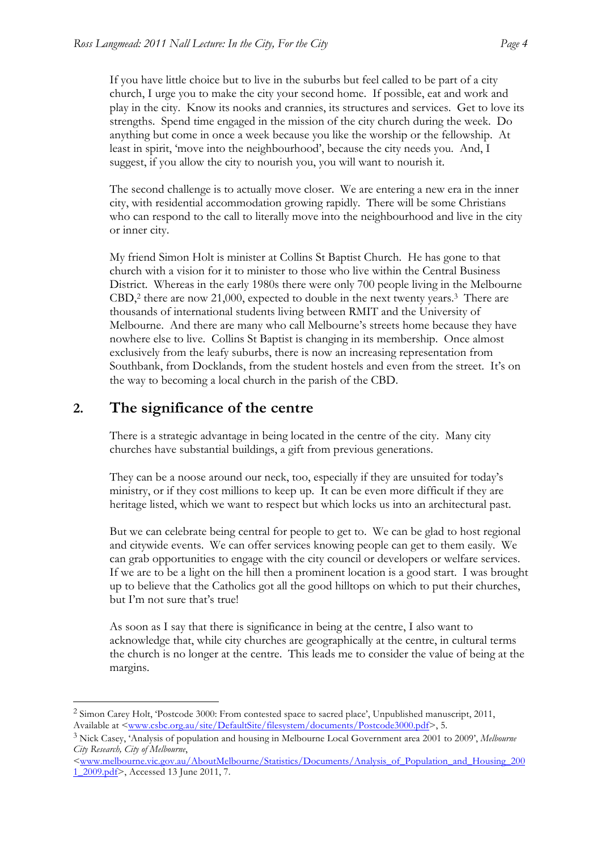If you have little choice but to live in the suburbs but feel called to be part of a city church, I urge you to make the city your second home. If possible, eat and work and play in the city. Know its nooks and crannies, its structures and services. Get to love its strengths. Spend time engaged in the mission of the city church during the week. Do anything but come in once a week because you like the worship or the fellowship. At least in spirit, 'move into the neighbourhood', because the city needs you. And, I suggest, if you allow the city to nourish you, you will want to nourish it.

The second challenge is to actually move closer. We are entering a new era in the inner city, with residential accommodation growing rapidly. There will be some Christians who can respond to the call to literally move into the neighbourhood and live in the city or inner city.

My friend Simon Holt is minister at Collins St Baptist Church. He has gone to that church with a vision for it to minister to those who live within the Central Business District. Whereas in the early 1980s there were only 700 people living in the Melbourne CBD,<sup>2</sup> there are now 21,000, expected to double in the next twenty years.<sup>3</sup> There are thousands of international students living between RMIT and the University of Melbourne. And there are many who call Melbourne's streets home because they have nowhere else to live. Collins St Baptist is changing in its membership. Once almost exclusively from the leafy suburbs, there is now an increasing representation from Southbank, from Docklands, from the student hostels and even from the street. It's on the way to becoming a local church in the parish of the CBD.

## **2. The significance of the centre**

There is a strategic advantage in being located in the centre of the city. Many city churches have substantial buildings, a gift from previous generations.

They can be a noose around our neck, too, especially if they are unsuited for today's ministry, or if they cost millions to keep up. It can be even more difficult if they are heritage listed, which we want to respect but which locks us into an architectural past.

But we can celebrate being central for people to get to. We can be glad to host regional and citywide events. We can offer services knowing people can get to them easily. We can grab opportunities to engage with the city council or developers or welfare services. If we are to be a light on the hill then a prominent location is a good start. I was brought up to believe that the Catholics got all the good hilltops on which to put their churches, but I'm not sure that's true!

As soon as I say that there is significance in being at the centre, I also want to acknowledge that, while city churches are geographically at the centre, in cultural terms the church is no longer at the centre. This leads me to consider the value of being at the margins.

<sup>!!!!!!!!!!!!!!!!!!!!!!!!!!!!!!!!!!!!!!!!!!!!!!!!!!!!!!!</sup> <sup>2</sup> Simon Carey Holt, 'Postcode 3000: From contested space to sacred place', Unpublished manuscript, 2011, Available at <www.csbc.org.au/site/DefaultSite/filesystem/documents/Postcode3000.pdf>, 5.

<sup>3</sup> Nick Casey, 'Analysis of population and housing in Melbourne Local Government area 2001 to 2009', *Melbourne City Research, City of Melbourne*,

<sup>&</sup>lt;www.melbourne.vic.gov.au/AboutMelbourne/Statistics/Documents/Analysis\_of\_Population\_and\_Housing\_200 1\_2009.pdf>, Accessed 13 June 2011, 7.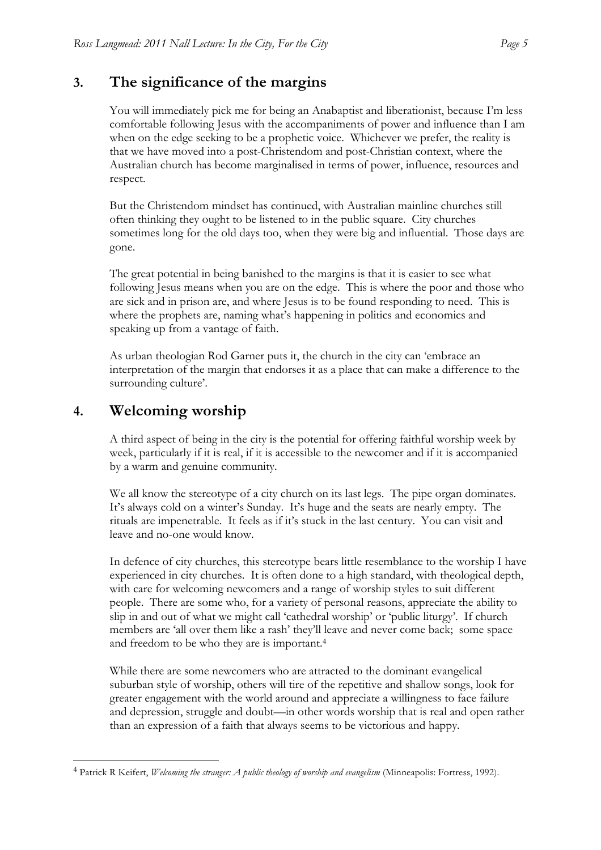## **3. The significance of the margins**

You will immediately pick me for being an Anabaptist and liberationist, because I'm less comfortable following Jesus with the accompaniments of power and influence than I am when on the edge seeking to be a prophetic voice. Whichever we prefer, the reality is that we have moved into a post-Christendom and post-Christian context, where the Australian church has become marginalised in terms of power, influence, resources and respect.

But the Christendom mindset has continued, with Australian mainline churches still often thinking they ought to be listened to in the public square. City churches sometimes long for the old days too, when they were big and influential. Those days are gone.

The great potential in being banished to the margins is that it is easier to see what following Jesus means when you are on the edge. This is where the poor and those who are sick and in prison are, and where Jesus is to be found responding to need. This is where the prophets are, naming what's happening in politics and economics and speaking up from a vantage of faith.

As urban theologian Rod Garner puts it, the church in the city can 'embrace an interpretation of the margin that endorses it as a place that can make a difference to the surrounding culture'.

## **4. Welcoming worship**

!!!!!!!!!!!!!!!!!!!!!!!!!!!!!!!!!!!!!!!!!!!!!!!!!!!!!!!

A third aspect of being in the city is the potential for offering faithful worship week by week, particularly if it is real, if it is accessible to the newcomer and if it is accompanied by a warm and genuine community.

We all know the stereotype of a city church on its last legs. The pipe organ dominates. It's always cold on a winter's Sunday. It's huge and the seats are nearly empty. The rituals are impenetrable. It feels as if it's stuck in the last century. You can visit and leave and no-one would know.

In defence of city churches, this stereotype bears little resemblance to the worship I have experienced in city churches. It is often done to a high standard, with theological depth, with care for welcoming newcomers and a range of worship styles to suit different people. There are some who, for a variety of personal reasons, appreciate the ability to slip in and out of what we might call 'cathedral worship' or 'public liturgy'. If church members are 'all over them like a rash' they'll leave and never come back; some space and freedom to be who they are is important.4

While there are some newcomers who are attracted to the dominant evangelical suburban style of worship, others will tire of the repetitive and shallow songs, look for greater engagement with the world around and appreciate a willingness to face failure and depression, struggle and doubt—in other words worship that is real and open rather than an expression of a faith that always seems to be victorious and happy.

<sup>4</sup> Patrick R Keifert, *Welcoming the stranger: A public theology of worship and evangelism* (Minneapolis: Fortress, 1992).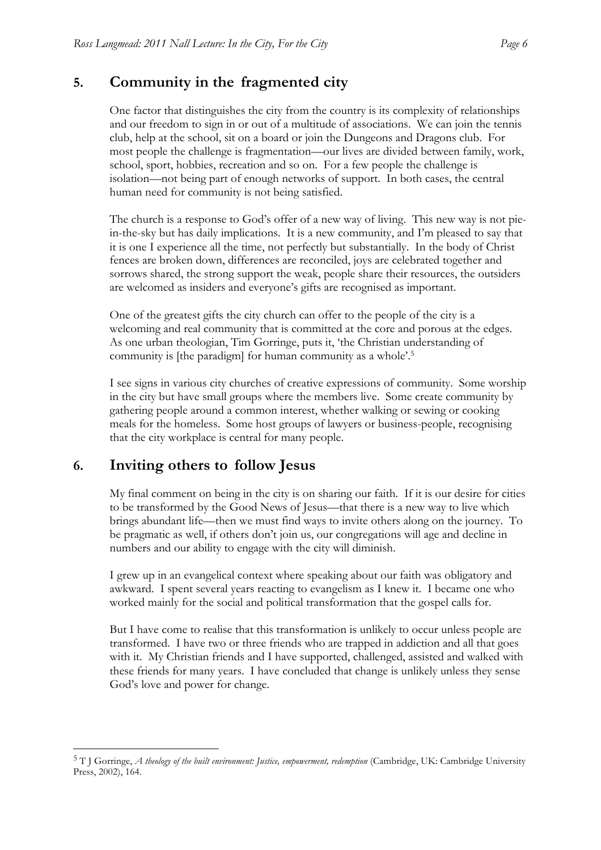#### **5. Community in the fragmented city**

One factor that distinguishes the city from the country is its complexity of relationships and our freedom to sign in or out of a multitude of associations. We can join the tennis club, help at the school, sit on a board or join the Dungeons and Dragons club. For most people the challenge is fragmentation—our lives are divided between family, work, school, sport, hobbies, recreation and so on. For a few people the challenge is isolation—not being part of enough networks of support. In both cases, the central human need for community is not being satisfied.

The church is a response to God's offer of a new way of living. This new way is not piein-the-sky but has daily implications. It is a new community, and I'm pleased to say that it is one I experience all the time, not perfectly but substantially. In the body of Christ fences are broken down, differences are reconciled, joys are celebrated together and sorrows shared, the strong support the weak, people share their resources, the outsiders are welcomed as insiders and everyone's gifts are recognised as important.

One of the greatest gifts the city church can offer to the people of the city is a welcoming and real community that is committed at the core and porous at the edges. As one urban theologian, Tim Gorringe, puts it, 'the Christian understanding of community is [the paradigm] for human community as a whole'.5

I see signs in various city churches of creative expressions of community. Some worship in the city but have small groups where the members live. Some create community by gathering people around a common interest, whether walking or sewing or cooking meals for the homeless. Some host groups of lawyers or business-people, recognising that the city workplace is central for many people.

### **6. Inviting others to follow Jesus**

!!!!!!!!!!!!!!!!!!!!!!!!!!!!!!!!!!!!!!!!!!!!!!!!!!!!!!!

My final comment on being in the city is on sharing our faith. If it is our desire for cities to be transformed by the Good News of Jesus—that there is a new way to live which brings abundant life—then we must find ways to invite others along on the journey. To be pragmatic as well, if others don't join us, our congregations will age and decline in numbers and our ability to engage with the city will diminish.

I grew up in an evangelical context where speaking about our faith was obligatory and awkward. I spent several years reacting to evangelism as I knew it. I became one who worked mainly for the social and political transformation that the gospel calls for.

But I have come to realise that this transformation is unlikely to occur unless people are transformed. I have two or three friends who are trapped in addiction and all that goes with it. My Christian friends and I have supported, challenged, assisted and walked with these friends for many years. I have concluded that change is unlikely unless they sense God's love and power for change.

<sup>5</sup> T J Gorringe, *A theology of the built environment: Justice, empowerment, redemption* (Cambridge, UK: Cambridge University Press, 2002), 164.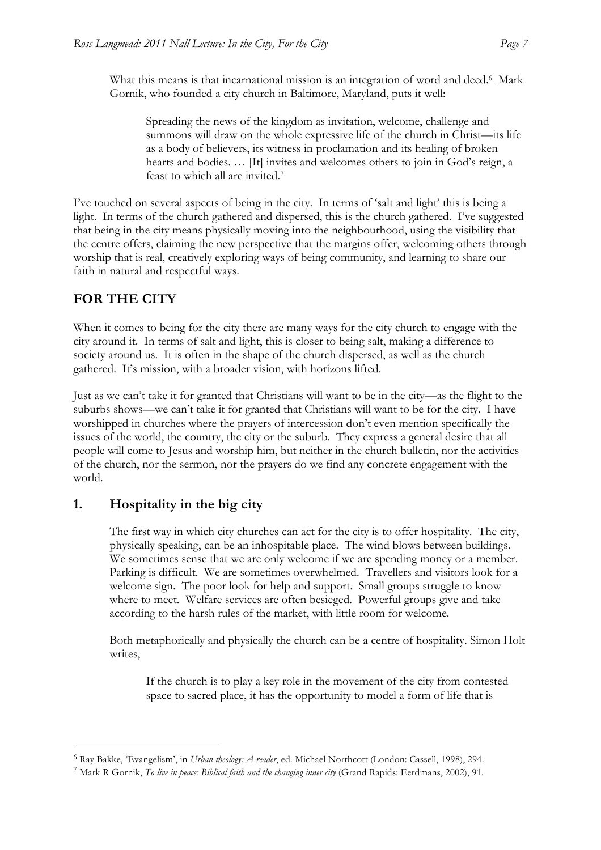What this means is that incarnational mission is an integration of word and deed.<sup>6</sup> Mark Gornik, who founded a city church in Baltimore, Maryland, puts it well:

Spreading the news of the kingdom as invitation, welcome, challenge and summons will draw on the whole expressive life of the church in Christ—its life as a body of believers, its witness in proclamation and its healing of broken hearts and bodies. … [It] invites and welcomes others to join in God's reign, a feast to which all are invited.7

I've touched on several aspects of being in the city. In terms of 'salt and light' this is being a light. In terms of the church gathered and dispersed, this is the church gathered. I've suggested that being in the city means physically moving into the neighbourhood, using the visibility that the centre offers, claiming the new perspective that the margins offer, welcoming others through worship that is real, creatively exploring ways of being community, and learning to share our faith in natural and respectful ways.

### **FOR THE CITY**

When it comes to being for the city there are many ways for the city church to engage with the city around it. In terms of salt and light, this is closer to being salt, making a difference to society around us. It is often in the shape of the church dispersed, as well as the church gathered. It's mission, with a broader vision, with horizons lifted.

Just as we can't take it for granted that Christians will want to be in the city—as the flight to the suburbs shows—we can't take it for granted that Christians will want to be for the city. I have worshipped in churches where the prayers of intercession don't even mention specifically the issues of the world, the country, the city or the suburb. They express a general desire that all people will come to Jesus and worship him, but neither in the church bulletin, nor the activities of the church, nor the sermon, nor the prayers do we find any concrete engagement with the world.

### **1. Hospitality in the big city**

!!!!!!!!!!!!!!!!!!!!!!!!!!!!!!!!!!!!!!!!!!!!!!!!!!!!!!!

The first way in which city churches can act for the city is to offer hospitality. The city, physically speaking, can be an inhospitable place. The wind blows between buildings. We sometimes sense that we are only welcome if we are spending money or a member. Parking is difficult. We are sometimes overwhelmed. Travellers and visitors look for a welcome sign. The poor look for help and support. Small groups struggle to know where to meet. Welfare services are often besieged. Powerful groups give and take according to the harsh rules of the market, with little room for welcome.

Both metaphorically and physically the church can be a centre of hospitality. Simon Holt writes,

If the church is to play a key role in the movement of the city from contested space to sacred place, it has the opportunity to model a form of life that is

<sup>6</sup> Ray Bakke, 'Evangelism', in *Urban theology: A reader*, ed. Michael Northcott (London: Cassell, 1998), 294.

<sup>7</sup> Mark R Gornik, *To live in peace: Biblical faith and the changing inner city* (Grand Rapids: Eerdmans, 2002), 91.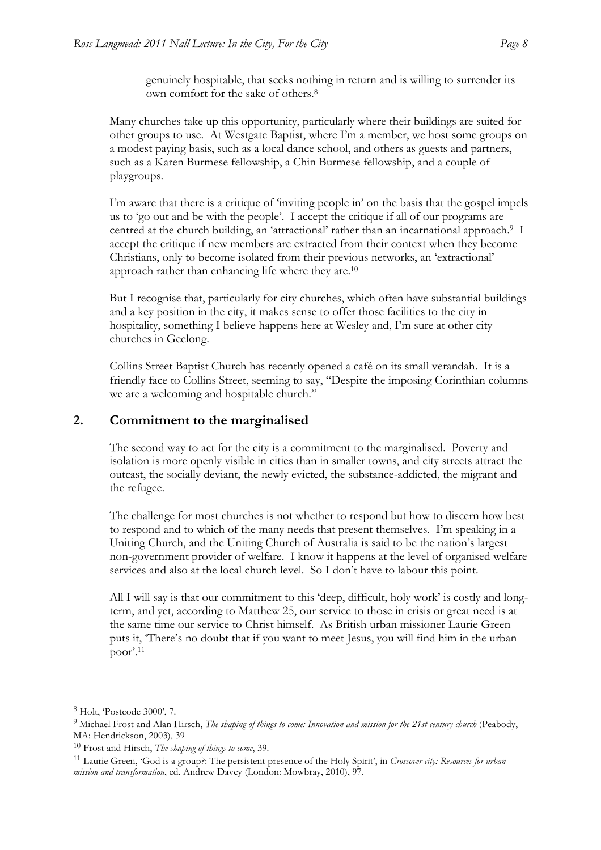genuinely hospitable, that seeks nothing in return and is willing to surrender its own comfort for the sake of others.8

Many churches take up this opportunity, particularly where their buildings are suited for other groups to use. At Westgate Baptist, where I'm a member, we host some groups on a modest paying basis, such as a local dance school, and others as guests and partners, such as a Karen Burmese fellowship, a Chin Burmese fellowship, and a couple of playgroups.

I'm aware that there is a critique of 'inviting people in' on the basis that the gospel impels us to 'go out and be with the people'. I accept the critique if all of our programs are centred at the church building, an 'attractional' rather than an incarnational approach. 9 I accept the critique if new members are extracted from their context when they become Christians, only to become isolated from their previous networks, an 'extractional' approach rather than enhancing life where they are.<sup>10</sup>

But I recognise that, particularly for city churches, which often have substantial buildings and a key position in the city, it makes sense to offer those facilities to the city in hospitality, something I believe happens here at Wesley and, I'm sure at other city churches in Geelong.

Collins Street Baptist Church has recently opened a café on its small verandah. It is a friendly face to Collins Street, seeming to say, "Despite the imposing Corinthian columns we are a welcoming and hospitable church."

#### **2. Commitment to the marginalised**

The second way to act for the city is a commitment to the marginalised. Poverty and isolation is more openly visible in cities than in smaller towns, and city streets attract the outcast, the socially deviant, the newly evicted, the substance-addicted, the migrant and the refugee.

The challenge for most churches is not whether to respond but how to discern how best to respond and to which of the many needs that present themselves. I'm speaking in a Uniting Church, and the Uniting Church of Australia is said to be the nation's largest non-government provider of welfare. I know it happens at the level of organised welfare services and also at the local church level. So I don't have to labour this point.

All I will say is that our commitment to this 'deep, difficult, holy work' is costly and longterm, and yet, according to Matthew 25, our service to those in crisis or great need is at the same time our service to Christ himself. As British urban missioner Laurie Green puts it, 'There's no doubt that if you want to meet Jesus, you will find him in the urban poor'. 11

!!!!!!!!!!!!!!!!!!!!!!!!!!!!!!!!!!!!!!!!!!!!!!!!!!!!!!!

<sup>8</sup> Holt, 'Postcode 3000', 7.

<sup>9</sup> Michael Frost and Alan Hirsch, *The shaping of things to come: Innovation and mission for the 21st-century church* (Peabody, MA: Hendrickson, 2003), 39

<sup>10</sup> Frost and Hirsch, *The shaping of things to come*, 39.

<sup>11</sup> Laurie Green, 'God is a group?: The persistent presence of the Holy Spirit', in *Crossover city: Resources for urban mission and transformation*, ed. Andrew Davey (London: Mowbray, 2010), 97.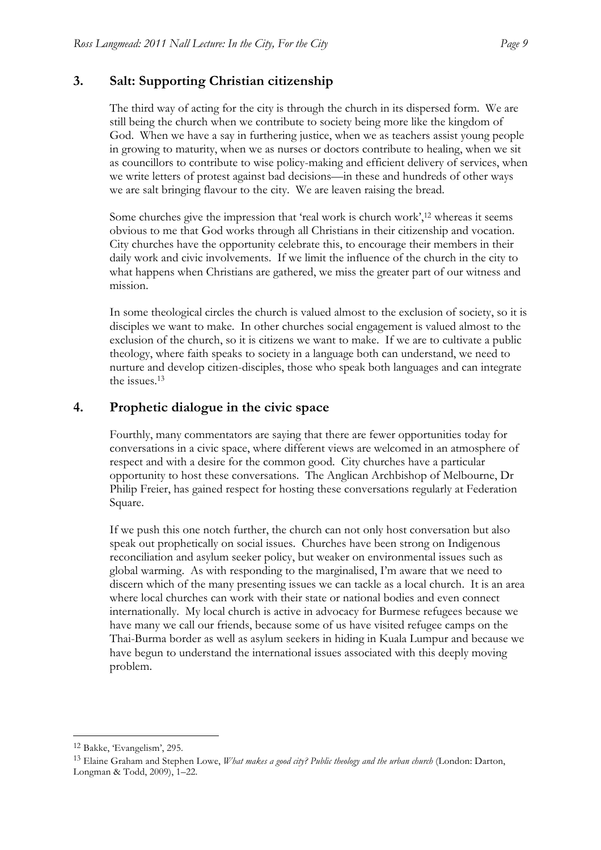#### **3. Salt: Supporting Christian citizenship**

The third way of acting for the city is through the church in its dispersed form. We are still being the church when we contribute to society being more like the kingdom of God. When we have a say in furthering justice, when we as teachers assist young people in growing to maturity, when we as nurses or doctors contribute to healing, when we sit as councillors to contribute to wise policy-making and efficient delivery of services, when we write letters of protest against bad decisions—in these and hundreds of other ways we are salt bringing flavour to the city. We are leaven raising the bread.

Some churches give the impression that 'real work is church work',12 whereas it seems obvious to me that God works through all Christians in their citizenship and vocation. City churches have the opportunity celebrate this, to encourage their members in their daily work and civic involvements. If we limit the influence of the church in the city to what happens when Christians are gathered, we miss the greater part of our witness and mission.

In some theological circles the church is valued almost to the exclusion of society, so it is disciples we want to make. In other churches social engagement is valued almost to the exclusion of the church, so it is citizens we want to make. If we are to cultivate a public theology, where faith speaks to society in a language both can understand, we need to nurture and develop citizen-disciples, those who speak both languages and can integrate the issues.13

#### **4. Prophetic dialogue in the civic space**

Fourthly, many commentators are saying that there are fewer opportunities today for conversations in a civic space, where different views are welcomed in an atmosphere of respect and with a desire for the common good. City churches have a particular opportunity to host these conversations. The Anglican Archbishop of Melbourne, Dr Philip Freier, has gained respect for hosting these conversations regularly at Federation Square.

If we push this one notch further, the church can not only host conversation but also speak out prophetically on social issues. Churches have been strong on Indigenous reconciliation and asylum seeker policy, but weaker on environmental issues such as global warming. As with responding to the marginalised, I'm aware that we need to discern which of the many presenting issues we can tackle as a local church. It is an area where local churches can work with their state or national bodies and even connect internationally. My local church is active in advocacy for Burmese refugees because we have many we call our friends, because some of us have visited refugee camps on the Thai-Burma border as well as asylum seekers in hiding in Kuala Lumpur and because we have begun to understand the international issues associated with this deeply moving problem.

!!!!!!!!!!!!!!!!!!!!!!!!!!!!!!!!!!!!!!!!!!!!!!!!!!!!!!!

<sup>12</sup> Bakke, 'Evangelism', 295.

<sup>13</sup> Elaine Graham and Stephen Lowe, *What makes a good city? Public theology and the urban church* (London: Darton, Longman & Todd, 2009), 1–22.